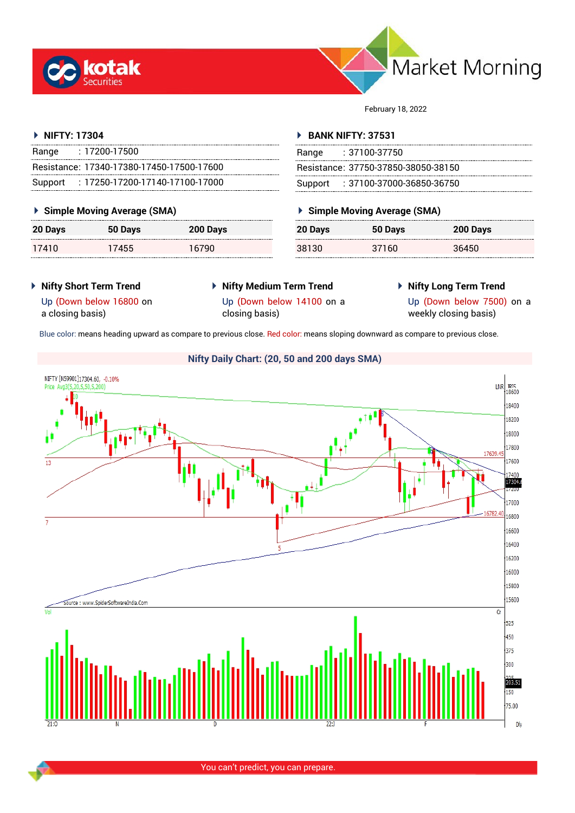



February 18, 2022

## **NIFTY: 17304**

| Range | : 17200-17500                             |
|-------|-------------------------------------------|
|       | Resistance: 17340-17380-17450-17500-17600 |
|       | Support: 17250-17200-17140-17100-17000    |

## **Simple Moving Average (SMA)**

| 20 Days | 50 Days | 200 Days |
|---------|---------|----------|
| 17410   | 17455   | 16790    |

## **BANK NIFTY: 37531**

| Range | : 37100-37750                       |
|-------|-------------------------------------|
|       | Resistance: 37750-37850-38050-38150 |
|       | Support: : 37100-37000-36850-36750  |

## **Simple Moving Average (SMA)**

| 20 Days | 50 Days | 200 Days |
|---------|---------|----------|
| 38130   | 37160   | 36450    |

- **Nifty Short Term Trend**
- **Nifty Medium Term Trend** closing basis)
- **Nifty Long Term Trend**

Up (Down below 16800 on a closing basis)

Up (Down below 14100 on a

Up (Down below 7500) on a weekly closing basis)

Blue color: means heading upward as compare to previous close. Red color: means sloping downward as compare to previous close.

# **Nifty Daily Chart: (20, 50 and 200 days SMA)**



You can't predict, you can prepare.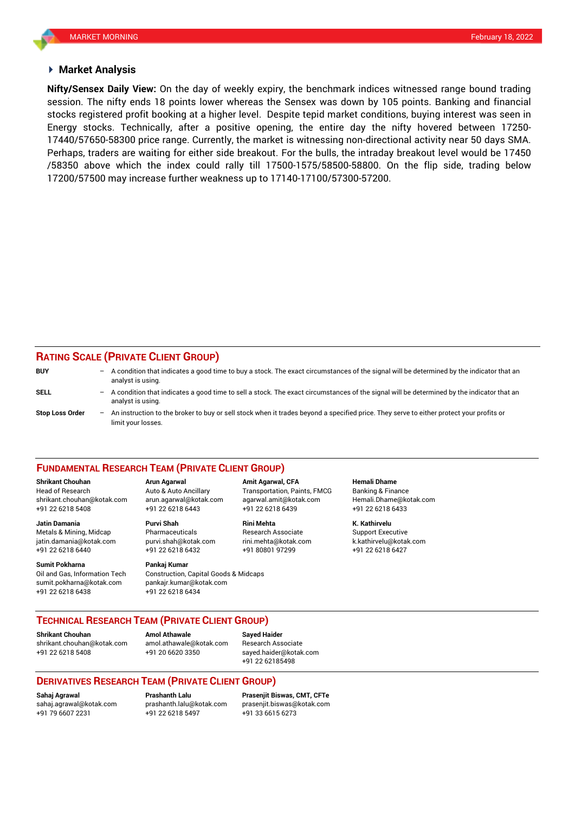## **Market Analysis**

session. The nifty ends 18 points lower whereas the Sensex was down by 105 points. Banking and financial **Nifty/Sensex Daily View:** On the day of weekly expiry, the benchmark indices witnessed range bound trading stocks registered profit booking at a higher level. Despite tepid market conditions, buying interest was seen in Energy stocks. Technically, after a positive opening, the entire day the nifty hovered between 17250- 17440/57650-58300 price range. Currently, the market is witnessing non-directional activity near 50 days SMA. Perhaps, traders are waiting for either side breakout. For the bulls, the intraday breakout level would be 17450 /58350 above which the index could rally till 17500-1575/58500-58800. On the flip side, trading below 17200/57500 may increase further weakness up to 17140-17100/57300-57200.

## **RATING SCALE (PRIVATE CLIENT GROUP)**

| <b>BUY</b>             |     | - A condition that indicates a good time to buy a stock. The exact circumstances of the signal will be determined by the indicator that an<br>analyst is using. |
|------------------------|-----|-----------------------------------------------------------------------------------------------------------------------------------------------------------------|
| SELL                   | $-$ | A condition that indicates a good time to sell a stock. The exact circumstances of the signal will be determined by the indicator that an<br>analyst is using.  |
| <b>Stop Loss Order</b> | $-$ | An instruction to the broker to buy or sell stock when it trades beyond a specified price. They serve to either protect your profits or<br>limit your losses.   |

### **FUNDAMENTAL RESEARCH TEAM (PRIVATE CLIENT GROUP)**

Head of Research Auto & Auto Ancillary Transportation, Paints, FMCG Banking & Finance [shrikant.chouhan@kotak.com](mailto:shrikant.chouhan@kotak.com) arun.agarwal@kotak.com agarwal.amit@kotak.com Hemali.Dhame@kotak.com

**Jatin Damania Purvi Shah Rini Mehta K. Kathirvelu** Metals & Mining, Midcap Pharmaceuticals Research Associate Support Executive Research Associate jatin.damania@kotak.com [purvi.shah@kotak.com](mailto:purvi.shah@kotak.com) rini.mehta@kotak.com [k.kathirvelu@kotak.com](mailto:k.kathirvelu@kotak.com) +91 22 6218 6440 +91 22 6218 6432 +91 80801 97299 +91 22 6218 6427

**Sumit Pokharna** Pankaj Kumar Oil and Gas, Information Tech Construction, Capital Goods & Midcaps sumit.pokharna@kotak.com pankajr.kumar@kotak.com +91 22 6218 6438 +91 22 6218 6434

+91 22 6218 5408 +91 22 6218 6443 +91 22 6218 6439 +91 22 6218 6433

**Shrikant Chouhan Arun Agarwal Amit Agarwal, CFA Hemali Dhame**

## **TECHNICAL RESEARCH TEAM (PRIVATE CLIENT GROUP)**

**Shrikant Chouhan Amol Athawale Sayed Haider**

[shrikant.chouhan@kotak.com](mailto:shrikant.chouhan@kotak.com) [amol.athawale@kotak.com](mailto:amol.athawale@kotak.com) Research Associate +91 22 6218 5408 +91 20 6620 3350 [sayed.haider@kotak.com](mailto:sayed.haider@kotak.com)

+91 22 62185498

## **DERIVATIVES RESEARCH TEAM (PRIVATE CLIENT GROUP)**

+91 22 6218 5497 +91 33 6615 6273

**Sahaj Agrawal Prashanth Lalu Prasenjit Biswas, CMT, CFTe** [sahaj.agrawal@kotak.com](mailto:sahaj.agrawal@kotak.com) [prashanth.lalu@kotak.com](mailto:prashanth.lalu@kotak.com) [prasenjit.biswas@kotak.com](mailto:prasenjit.biswas@kotak.com)